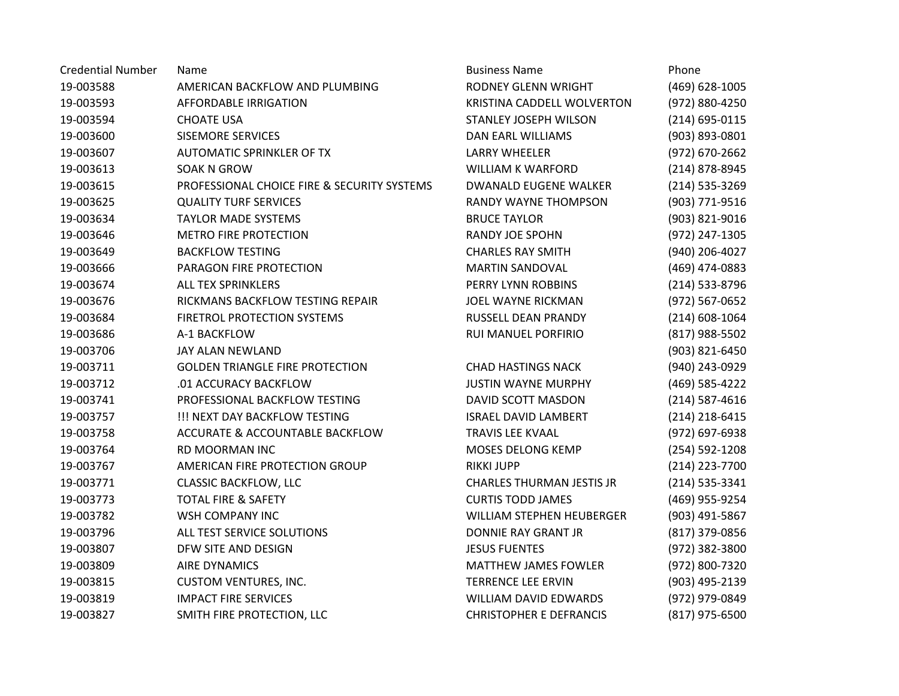| <b>Credential Number</b> | Name                                        | <b>Business Name</b>             | Phone              |
|--------------------------|---------------------------------------------|----------------------------------|--------------------|
| 19-003588                | AMERICAN BACKFLOW AND PLUMBING              | RODNEY GLENN WRIGHT              | (469) 628-1005     |
| 19-003593                | <b>AFFORDABLE IRRIGATION</b>                | KRISTINA CADDELL WOLVERTON       | (972) 880-4250     |
| 19-003594                | <b>CHOATE USA</b>                           | STANLEY JOSEPH WILSON            | (214) 695-0115     |
| 19-003600                | <b>SISEMORE SERVICES</b>                    | <b>DAN EARL WILLIAMS</b>         | (903) 893-0801     |
| 19-003607                | AUTOMATIC SPRINKLER OF TX                   | <b>LARRY WHEELER</b>             | (972) 670-2662     |
| 19-003613                | SOAK N GROW                                 | <b>WILLIAM K WARFORD</b>         | (214) 878-8945     |
| 19-003615                | PROFESSIONAL CHOICE FIRE & SECURITY SYSTEMS | <b>DWANALD EUGENE WALKER</b>     | (214) 535-3269     |
| 19-003625                | <b>QUALITY TURF SERVICES</b>                | RANDY WAYNE THOMPSON             | (903) 771-9516     |
| 19-003634                | <b>TAYLOR MADE SYSTEMS</b>                  | <b>BRUCE TAYLOR</b>              | (903) 821-9016     |
| 19-003646                | <b>METRO FIRE PROTECTION</b>                | <b>RANDY JOE SPOHN</b>           | (972) 247-1305     |
| 19-003649                | <b>BACKFLOW TESTING</b>                     | <b>CHARLES RAY SMITH</b>         | (940) 206-4027     |
| 19-003666                | PARAGON FIRE PROTECTION                     | <b>MARTIN SANDOVAL</b>           | (469) 474-0883     |
| 19-003674                | <b>ALL TEX SPRINKLERS</b>                   | PERRY LYNN ROBBINS               | (214) 533-8796     |
| 19-003676                | RICKMANS BACKFLOW TESTING REPAIR            | JOEL WAYNE RICKMAN               | (972) 567-0652     |
| 19-003684                | FIRETROL PROTECTION SYSTEMS                 | RUSSELL DEAN PRANDY              | $(214) 608 - 1064$ |
| 19-003686                | A-1 BACKFLOW                                | RUI MANUEL PORFIRIO              | (817) 988-5502     |
| 19-003706                | JAY ALAN NEWLAND                            |                                  | (903) 821-6450     |
| 19-003711                | <b>GOLDEN TRIANGLE FIRE PROTECTION</b>      | <b>CHAD HASTINGS NACK</b>        | (940) 243-0929     |
| 19-003712                | .01 ACCURACY BACKFLOW                       | <b>JUSTIN WAYNE MURPHY</b>       | (469) 585-4222     |
| 19-003741                | PROFESSIONAL BACKFLOW TESTING               | DAVID SCOTT MASDON               | $(214) 587 - 4616$ |
| 19-003757                | !!! NEXT DAY BACKFLOW TESTING               | <b>ISRAEL DAVID LAMBERT</b>      | $(214)$ 218-6415   |
| 19-003758                | <b>ACCURATE &amp; ACCOUNTABLE BACKFLOW</b>  | <b>TRAVIS LEE KVAAL</b>          | (972) 697-6938     |
| 19-003764                | RD MOORMAN INC                              | MOSES DELONG KEMP                | (254) 592-1208     |
| 19-003767                | AMERICAN FIRE PROTECTION GROUP              | <b>RIKKI JUPP</b>                | (214) 223-7700     |
| 19-003771                | <b>CLASSIC BACKFLOW, LLC</b>                | <b>CHARLES THURMAN JESTIS JR</b> | (214) 535-3341     |
| 19-003773                | <b>TOTAL FIRE &amp; SAFETY</b>              | <b>CURTIS TODD JAMES</b>         | (469) 955-9254     |
| 19-003782                | WSH COMPANY INC                             | WILLIAM STEPHEN HEUBERGER        | (903) 491-5867     |
| 19-003796                | ALL TEST SERVICE SOLUTIONS                  | <b>DONNIE RAY GRANT JR</b>       | (817) 379-0856     |
| 19-003807                | DFW SITE AND DESIGN                         | <b>JESUS FUENTES</b>             | (972) 382-3800     |
| 19-003809                | <b>AIRE DYNAMICS</b>                        | <b>MATTHEW JAMES FOWLER</b>      | (972) 800-7320     |
| 19-003815                | <b>CUSTOM VENTURES, INC.</b>                | <b>TERRENCE LEE ERVIN</b>        | (903) 495-2139     |
| 19-003819                | <b>IMPACT FIRE SERVICES</b>                 | WILLIAM DAVID EDWARDS            | (972) 979-0849     |
| 19-003827                | SMITH FIRE PROTECTION, LLC                  | <b>CHRISTOPHER E DEFRANCIS</b>   | (817) 975-6500     |